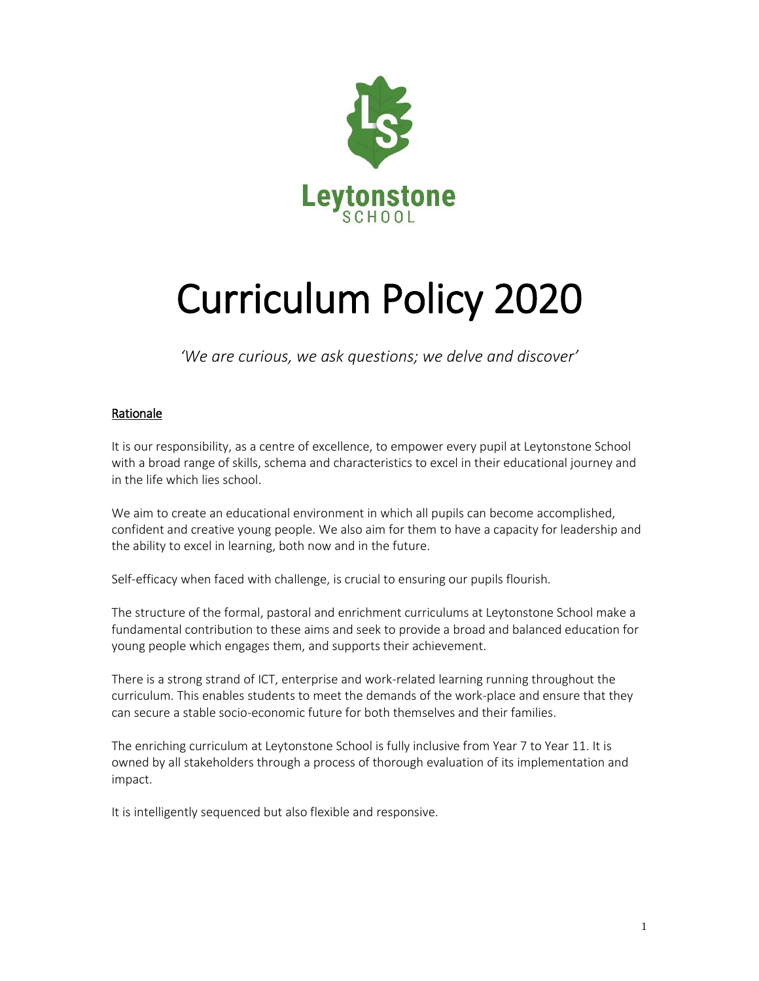

# Curriculum Policy 2020

*'We are curious, we ask questions; we delve and discover'*

## Rationale

It is our responsibility, as a centre of excellence, to empower every pupil at Leytonstone School with a broad range of skills, schema and characteristics to excel in their educational journey and in the life which lies school.

We aim to create an educational environment in which all pupils can become accomplished, confident and creative young people. We also aim for them to have a capacity for leadership and the ability to excel in learning, both now and in the future.

Self-efficacy when faced with challenge, is crucial to ensuring our pupils flourish.

The structure of the formal, pastoral and enrichment curriculums at Leytonstone School make a fundamental contribution to these aims and seek to provide a broad and balanced education for young people which engages them, and supports their achievement.

There is a strong strand of ICT, enterprise and work-related learning running throughout the curriculum. This enables students to meet the demands of the work-place and ensure that they can secure a stable socio-economic future for both themselves and their families.

The enriching curriculum at Leytonstone School is fully inclusive from Year 7 to Year 11. It is owned by all stakeholders through a process of thorough evaluation of its implementation and impact.

It is intelligently sequenced but also flexible and responsive.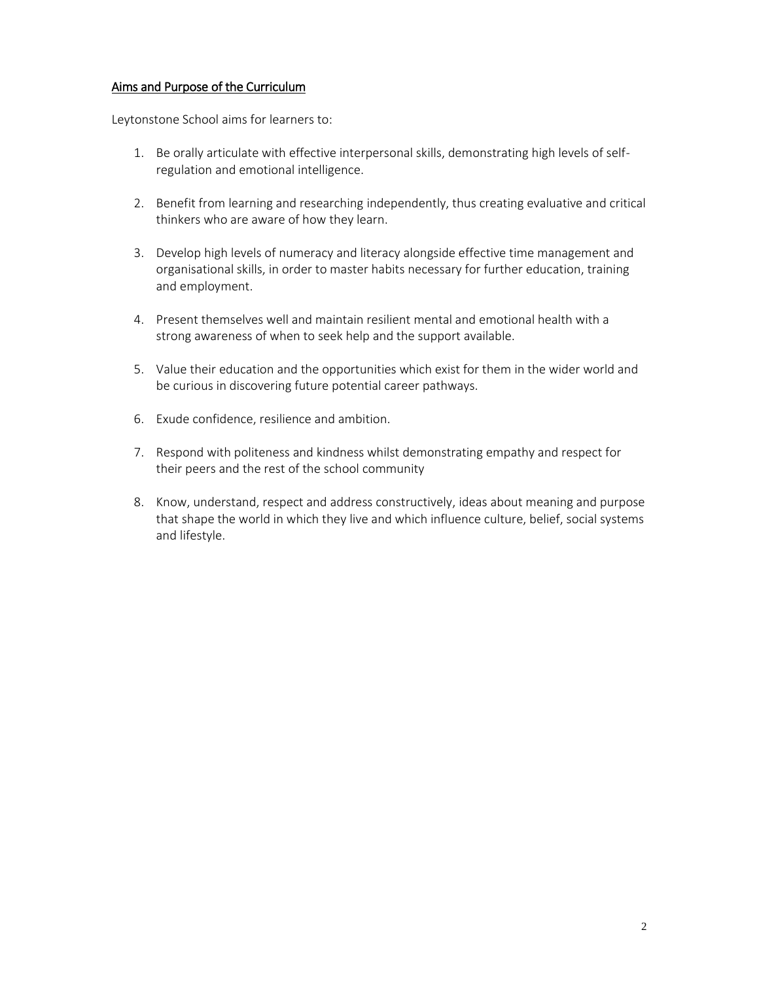## Aims and Purpose of the Curriculum

Leytonstone School aims for learners to:

- 1. Be orally articulate with effective interpersonal skills, demonstrating high levels of selfregulation and emotional intelligence.
- 2. Benefit from learning and researching independently, thus creating evaluative and critical thinkers who are aware of how they learn.
- 3. Develop high levels of numeracy and literacy alongside effective time management and organisational skills, in order to master habits necessary for further education, training and employment.
- 4. Present themselves well and maintain resilient mental and emotional health with a strong awareness of when to seek help and the support available.
- 5. Value their education and the opportunities which exist for them in the wider world and be curious in discovering future potential career pathways.
- 6. Exude confidence, resilience and ambition.
- 7. Respond with politeness and kindness whilst demonstrating empathy and respect for their peers and the rest of the school community
- 8. Know, understand, respect and address constructively, ideas about meaning and purpose that shape the world in which they live and which influence culture, belief, social systems and lifestyle.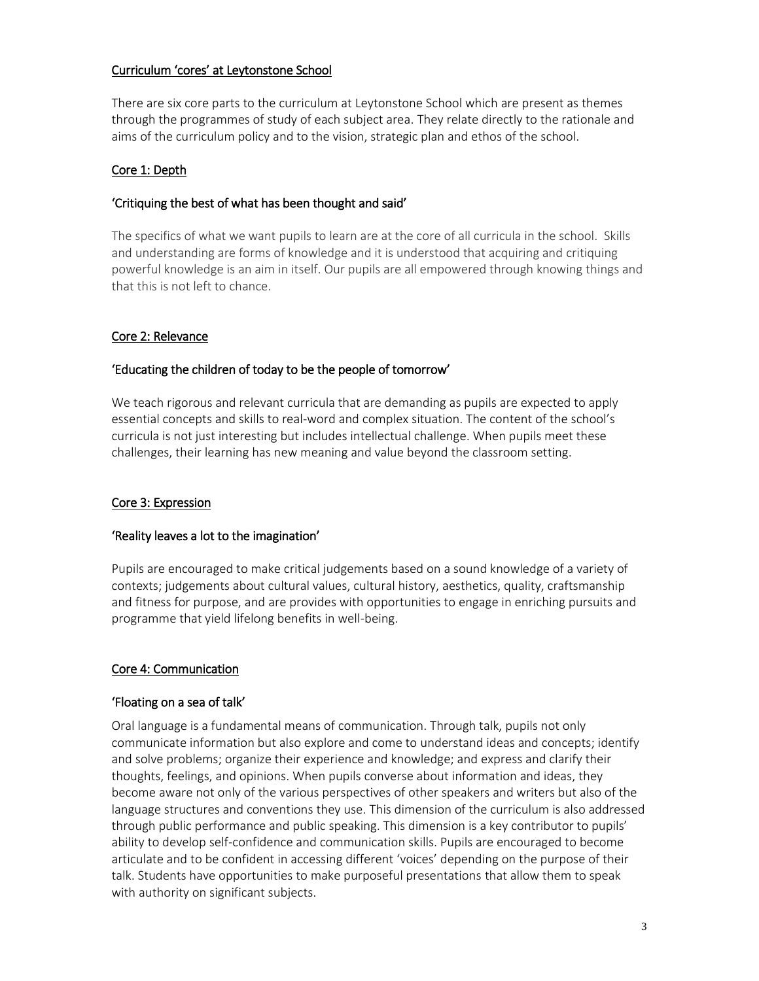## Curriculum 'cores' at Leytonstone School

There are six core parts to the curriculum at Leytonstone School which are present as themes through the programmes of study of each subject area. They relate directly to the rationale and aims of the curriculum policy and to the vision, strategic plan and ethos of the school.

## Core 1: Depth

## 'Critiquing the best of what has been thought and said'

The specifics of what we want pupils to learn are at the core of all curricula in the school. Skills and understanding are forms of knowledge and it is understood that acquiring and critiquing powerful knowledge is an aim in itself. Our pupils are all empowered through knowing things and that this is not left to chance.

## Core 2: Relevance

## 'Educating the children of today to be the people of tomorrow'

We teach rigorous and relevant curricula that are demanding as pupils are expected to apply essential concepts and skills to real-word and complex situation. The content of the school's curricula is not just interesting but includes intellectual challenge. When pupils meet these challenges, their learning has new meaning and value beyond the classroom setting.

## Core 3: Expression

## 'Reality leaves a lot to the imagination'

Pupils are encouraged to make critical judgements based on a sound knowledge of a variety of contexts; judgements about cultural values, cultural history, aesthetics, quality, craftsmanship and fitness for purpose, and are provides with opportunities to engage in enriching pursuits and programme that yield lifelong benefits in well-being.

## Core 4: Communication

## 'Floating on a sea of talk'

Oral language is a fundamental means of communication. Through talk, pupils not only communicate information but also explore and come to understand ideas and concepts; identify and solve problems; organize their experience and knowledge; and express and clarify their thoughts, feelings, and opinions. When pupils converse about information and ideas, they become aware not only of the various perspectives of other speakers and writers but also of the language structures and conventions they use. This dimension of the curriculum is also addressed through public performance and public speaking. This dimension is a key contributor to pupils' ability to develop self-confidence and communication skills. Pupils are encouraged to become articulate and to be confident in accessing different 'voices' depending on the purpose of their talk. Students have opportunities to make purposeful presentations that allow them to speak with authority on significant subjects.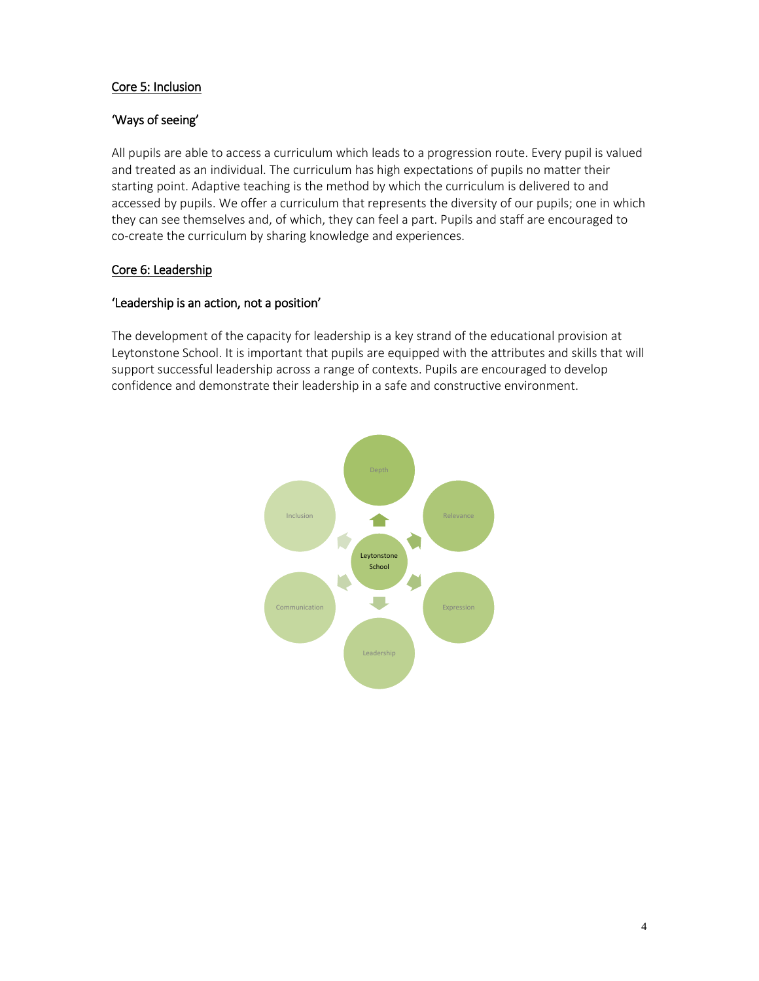## Core 5: Inclusion

## 'Ways of seeing'

All pupils are able to access a curriculum which leads to a progression route. Every pupil is valued and treated as an individual. The curriculum has high expectations of pupils no matter their starting point. Adaptive teaching is the method by which the curriculum is delivered to and accessed by pupils. We offer a curriculum that represents the diversity of our pupils; one in which they can see themselves and, of which, they can feel a part. Pupils and staff are encouraged to co-create the curriculum by sharing knowledge and experiences.

## Core 6: Leadership

## 'Leadership is an action, not a position'

The development of the capacity for leadership is a key strand of the educational provision at Leytonstone School. It is important that pupils are equipped with the attributes and skills that will support successful leadership across a range of contexts. Pupils are encouraged to develop confidence and demonstrate their leadership in a safe and constructive environment.

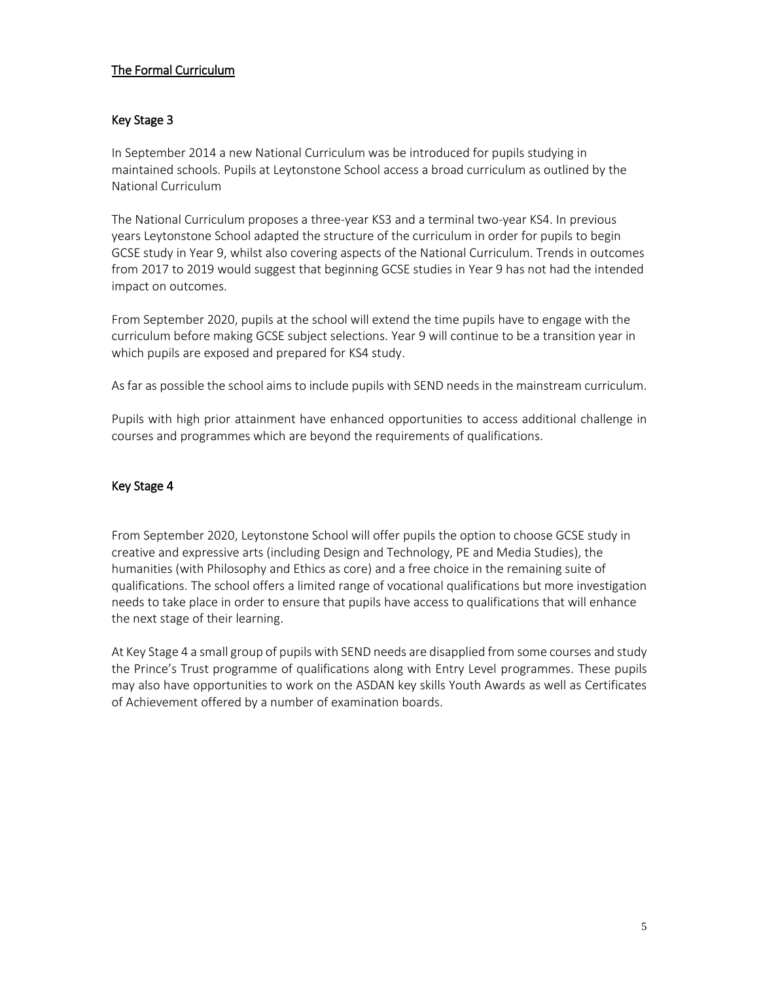## The Formal Curriculum

## Key Stage 3

In September 2014 a new National Curriculum was be introduced for pupils studying in maintained schools. Pupils at Leytonstone School access a broad curriculum as outlined by the National Curriculum

The National Curriculum proposes a three-year KS3 and a terminal two-year KS4. In previous years Leytonstone School adapted the structure of the curriculum in order for pupils to begin GCSE study in Year 9, whilst also covering aspects of the National Curriculum. Trends in outcomes from 2017 to 2019 would suggest that beginning GCSE studies in Year 9 has not had the intended impact on outcomes.

From September 2020, pupils at the school will extend the time pupils have to engage with the curriculum before making GCSE subject selections. Year 9 will continue to be a transition year in which pupils are exposed and prepared for KS4 study.

As far as possible the school aims to include pupils with SEND needs in the mainstream curriculum.

Pupils with high prior attainment have enhanced opportunities to access additional challenge in courses and programmes which are beyond the requirements of qualifications.

#### Key Stage 4

From September 2020, Leytonstone School will offer pupils the option to choose GCSE study in creative and expressive arts (including Design and Technology, PE and Media Studies), the humanities (with Philosophy and Ethics as core) and a free choice in the remaining suite of qualifications. The school offers a limited range of vocational qualifications but more investigation needs to take place in order to ensure that pupils have access to qualifications that will enhance the next stage of their learning.

At Key Stage 4 a small group of pupils with SEND needs are disapplied from some courses and study the Prince's Trust programme of qualifications along with Entry Level programmes. These pupils may also have opportunities to work on the ASDAN key skills Youth Awards as well as Certificates of Achievement offered by a number of examination boards.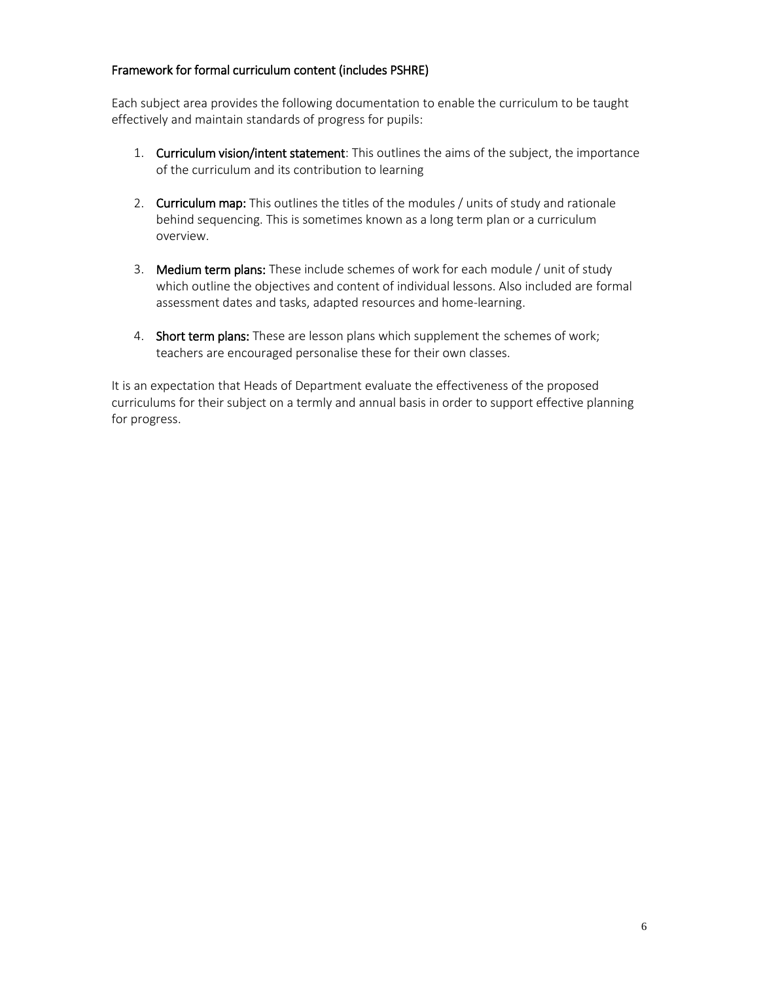## Framework for formal curriculum content (includes PSHRE)

Each subject area provides the following documentation to enable the curriculum to be taught effectively and maintain standards of progress for pupils:

- 1. Curriculum vision/intent statement: This outlines the aims of the subject, the importance of the curriculum and its contribution to learning
- 2. Curriculum map: This outlines the titles of the modules / units of study and rationale behind sequencing. This is sometimes known as a long term plan or a curriculum overview.
- 3. Medium term plans: These include schemes of work for each module / unit of study which outline the objectives and content of individual lessons. Also included are formal assessment dates and tasks, adapted resources and home-learning.
- 4. Short term plans: These are lesson plans which supplement the schemes of work; teachers are encouraged personalise these for their own classes.

It is an expectation that Heads of Department evaluate the effectiveness of the proposed curriculums for their subject on a termly and annual basis in order to support effective planning for progress.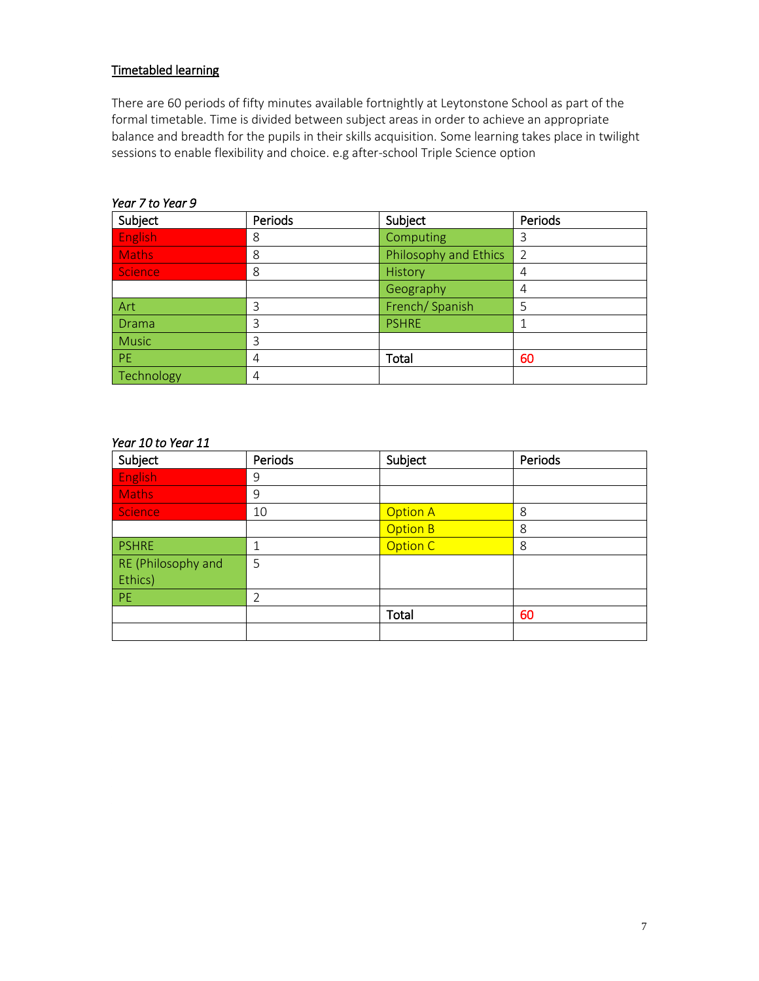# Timetabled learning

There are 60 periods of fifty minutes available fortnightly at Leytonstone School as part of the formal timetable. Time is divided between subject areas in order to achieve an appropriate balance and breadth for the pupils in their skills acquisition. Some learning takes place in twilight sessions to enable flexibility and choice. e.g after-school Triple Science option

| Subject      | Periods | Subject               | Periods       |
|--------------|---------|-----------------------|---------------|
| English      | 8       | Computing             | 3             |
| <b>Maths</b> | 8       | Philosophy and Ethics | $\mathcal{P}$ |
| Science      | 8       | History               | 4             |
|              |         | Geography             | 4             |
| Art          | 3       | French/Spanish        | 5             |
| <b>Drama</b> | 3       | <b>PSHRE</b>          |               |
| <b>Music</b> | 3       |                       |               |
| <b>PE</b>    | 4       | Total                 | 60            |
| Technology   | 4       |                       |               |

#### *Year 7 to Year 9*

## *Year 10 to Year 11*

| Subject            | Periods | Subject         | Periods |
|--------------------|---------|-----------------|---------|
| <b>English</b>     | 9       |                 |         |
| <b>Maths</b>       | 9       |                 |         |
| Science            | 10      | <b>Option A</b> | 8       |
|                    |         | <b>Option B</b> | 8       |
| <b>PSHRE</b>       | 1       | Option C        | 8       |
| RE (Philosophy and | 5       |                 |         |
| Ethics)            |         |                 |         |
| PE                 | 2       |                 |         |
|                    |         | Total           | 60      |
|                    |         |                 |         |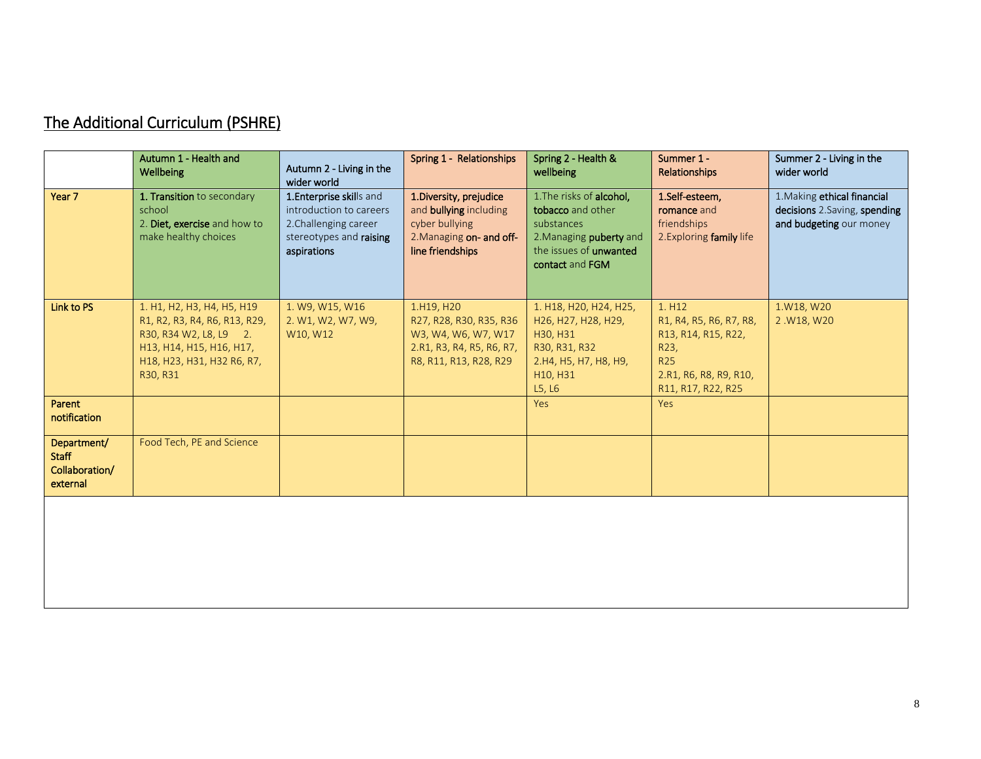| The Additional Curriculum (PSHRE) |
|-----------------------------------|
|-----------------------------------|

|                                                           | Autumn 1 - Health and<br>Wellbeing                                                                                                                          | Autumn 2 - Living in the<br>wider world                                                                                | Spring 1 - Relationships                                                                                                   | Spring 2 - Health &<br>wellbeing                                                                                                           | Summer 1 -<br>Relationships                                                                                                    | Summer 2 - Living in the<br>wider world                                                |
|-----------------------------------------------------------|-------------------------------------------------------------------------------------------------------------------------------------------------------------|------------------------------------------------------------------------------------------------------------------------|----------------------------------------------------------------------------------------------------------------------------|--------------------------------------------------------------------------------------------------------------------------------------------|--------------------------------------------------------------------------------------------------------------------------------|----------------------------------------------------------------------------------------|
| Year 7                                                    | 1. Transition to secondary<br>school<br>2. Diet, exercise and how to<br>make healthy choices                                                                | 1. Enterprise skills and<br>introduction to careers<br>2. Challenging career<br>stereotypes and raising<br>aspirations | 1. Diversity, prejudice<br>and <b>bullying</b> including<br>cyber bullying<br>2. Managing on- and off-<br>line friendships | 1. The risks of alcohol,<br>tobacco and other<br>substances<br>2. Managing puberty and<br>the issues of <b>unwanted</b><br>contact and FGM | 1.Self-esteem,<br>romance and<br>friendships<br>2. Exploring family life                                                       | 1. Making ethical financial<br>decisions 2.Saving, spending<br>and budgeting our money |
| Link to PS                                                | 1. H1, H2, H3, H4, H5, H19<br>R1, R2, R3, R4, R6, R13, R29,<br>R30, R34 W2, L8, L9 2.<br>H13, H14, H15, H16, H17,<br>H18, H23, H31, H32 R6, R7,<br>R30, R31 | 1. W9, W15, W16<br>2. W1, W2, W7, W9,<br>W10, W12                                                                      | 1.H19, H20<br>R27, R28, R30, R35, R36<br>W3, W4, W6, W7, W17<br>2.R1, R3, R4, R5, R6, R7,<br>R8, R11, R13, R28, R29        | 1. H18, H20, H24, H25,<br>H26, H27, H28, H29,<br>H30, H31<br>R30, R31, R32<br>2.H4, H5, H7, H8, H9,<br>H10, H31<br>L5, L6                  | 1. H12<br>R1, R4, R5, R6, R7, R8,<br>R13, R14, R15, R22,<br>R23,<br><b>R25</b><br>2.R1, R6, R8, R9, R10,<br>R11, R17, R22, R25 | 1.W18, W20<br>2.W18, W20                                                               |
| Parent<br>notification                                    |                                                                                                                                                             |                                                                                                                        |                                                                                                                            | Yes                                                                                                                                        | Yes                                                                                                                            |                                                                                        |
| Department/<br><b>Staff</b><br>Collaboration/<br>external | Food Tech, PE and Science                                                                                                                                   |                                                                                                                        |                                                                                                                            |                                                                                                                                            |                                                                                                                                |                                                                                        |
|                                                           |                                                                                                                                                             |                                                                                                                        |                                                                                                                            |                                                                                                                                            |                                                                                                                                |                                                                                        |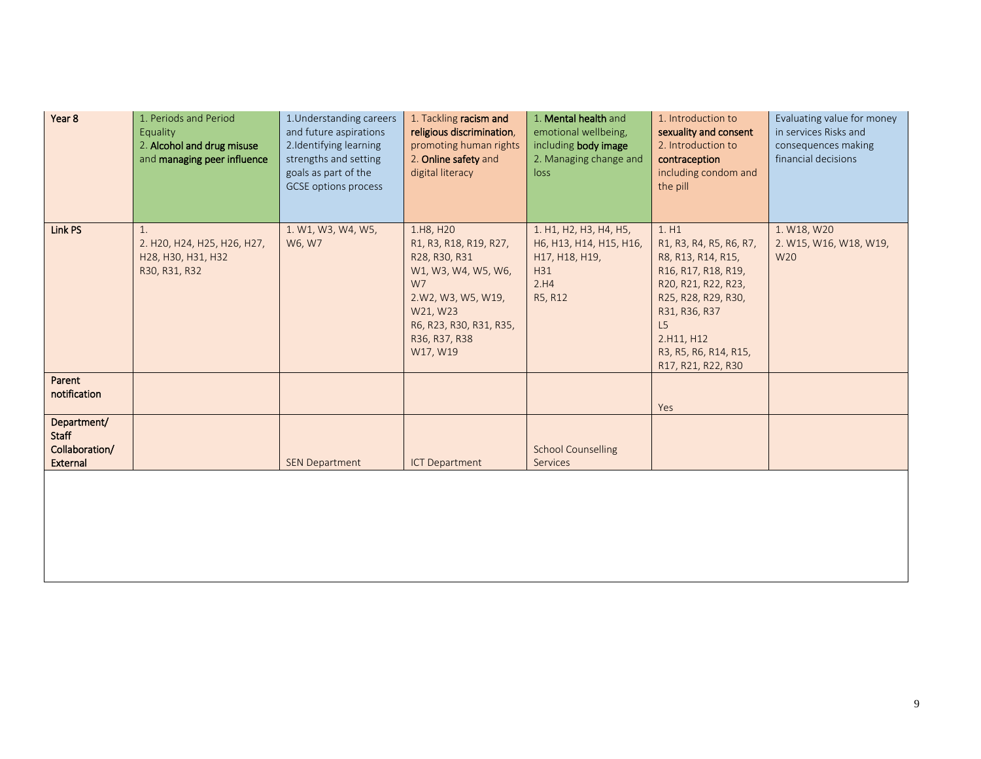| Year 8                                                           | 1. Periods and Period<br>Equality<br>2. Alcohol and drug misuse<br>and managing peer influence | 1. Understanding careers<br>and future aspirations<br>2.Identifying learning<br>strengths and setting<br>goals as part of the<br><b>GCSE</b> options process | 1. Tackling racism and<br>religious discrimination,<br>promoting human rights<br>2. Online safety and<br>digital literacy                                                   | 1. Mental health and<br>emotional wellbeing,<br>including body image<br>2. Managing change and<br>loss | 1. Introduction to<br>sexuality and consent<br>2. Introduction to<br>contraception<br>including condom and<br>the pill                                                                                         | Evaluating value for money<br>in services Risks and<br>consequences making<br>financial decisions |
|------------------------------------------------------------------|------------------------------------------------------------------------------------------------|--------------------------------------------------------------------------------------------------------------------------------------------------------------|-----------------------------------------------------------------------------------------------------------------------------------------------------------------------------|--------------------------------------------------------------------------------------------------------|----------------------------------------------------------------------------------------------------------------------------------------------------------------------------------------------------------------|---------------------------------------------------------------------------------------------------|
| Link PS                                                          | $\mathbf{1}$ .<br>2. H20, H24, H25, H26, H27,<br>H28, H30, H31, H32<br>R30, R31, R32           | 1. W1, W3, W4, W5,<br>W6, W7                                                                                                                                 | 1.H8, H20<br>R1, R3, R18, R19, R27,<br>R28, R30, R31<br>W1, W3, W4, W5, W6,<br>W7<br>2.W2, W3, W5, W19,<br>W21, W23<br>R6, R23, R30, R31, R35,<br>R36, R37, R38<br>W17, W19 | 1. H1, H2, H3, H4, H5,<br>H6, H13, H14, H15, H16,<br>H17, H18, H19,<br>H31<br>2.H4<br>R5, R12          | 1.H1<br>R1, R3, R4, R5, R6, R7,<br>R8, R13, R14, R15,<br>R16, R17, R18, R19,<br>R20, R21, R22, R23,<br>R25, R28, R29, R30,<br>R31, R36, R37<br>L5<br>2.H11, H12<br>R3, R5, R6, R14, R15,<br>R17, R21, R22, R30 | 1. W18, W20<br>2. W15, W16, W18, W19,<br>W20                                                      |
| Parent<br>notification                                           |                                                                                                |                                                                                                                                                              |                                                                                                                                                                             |                                                                                                        | Yes                                                                                                                                                                                                            |                                                                                                   |
| Department/<br><b>Staff</b><br>Collaboration/<br><b>External</b> |                                                                                                | <b>SEN Department</b>                                                                                                                                        | <b>ICT Department</b>                                                                                                                                                       | <b>School Counselling</b><br>Services                                                                  |                                                                                                                                                                                                                |                                                                                                   |
|                                                                  |                                                                                                |                                                                                                                                                              |                                                                                                                                                                             |                                                                                                        |                                                                                                                                                                                                                |                                                                                                   |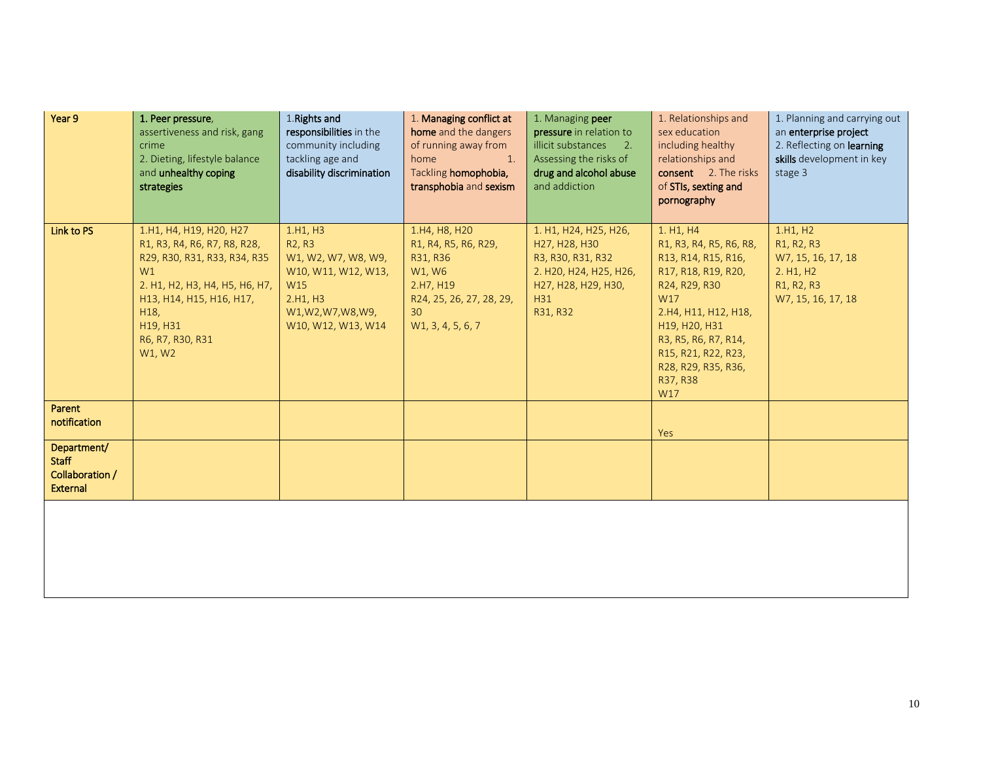| Year 9          | 1. Peer pressure,                      | 1. Rights and                           | 1. Managing conflict at            | 1. Managing peer                                | 1. Relationships and                   | 1. Planning and carrying out                           |
|-----------------|----------------------------------------|-----------------------------------------|------------------------------------|-------------------------------------------------|----------------------------------------|--------------------------------------------------------|
|                 | assertiveness and risk, gang           | responsibilities in the                 | home and the dangers               | pressure in relation to                         | sex education                          | an enterprise project                                  |
|                 | crime<br>2. Dieting, lifestyle balance | community including<br>tackling age and | of running away from<br>home<br>1. | illicit substances 2.<br>Assessing the risks of | including healthy<br>relationships and | 2. Reflecting on learning<br>skills development in key |
|                 | and unhealthy coping                   | disability discrimination               | Tackling homophobia,               | drug and alcohol abuse                          | consent 2. The risks                   | stage 3                                                |
|                 | strategies                             |                                         | transphobia and sexism             | and addiction                                   | of STIs, sexting and                   |                                                        |
|                 |                                        |                                         |                                    |                                                 | pornography                            |                                                        |
|                 |                                        |                                         |                                    |                                                 |                                        |                                                        |
| Link to PS      | 1.H1, H4, H19, H20, H27                | 1.H1, H3                                | 1.H4, H8, H20                      | 1. H1, H24, H25, H26,                           | 1. H1, H4                              | 1.H1, H2                                               |
|                 | R1, R3, R4, R6, R7, R8, R28,           | R <sub>2</sub> , R <sub>3</sub>         | R1, R4, R5, R6, R29,               | H27, H28, H30                                   | R1, R3, R4, R5, R6, R8,                | R1, R2, R3                                             |
|                 | R29, R30, R31, R33, R34, R35           | W1, W2, W7, W8, W9,                     | R31, R36                           | R3, R30, R31, R32                               | R13, R14, R15, R16,                    | W7, 15, 16, 17, 18                                     |
|                 | W1                                     | W10, W11, W12, W13,                     | W1, W6                             | 2. H20, H24, H25, H26,                          | R17, R18, R19, R20,                    | 2. H1, H2                                              |
|                 | 2. H1, H2, H3, H4, H5, H6, H7,         | W15                                     | 2.H7, H19                          | H27, H28, H29, H30,                             | R24, R29, R30                          | R1, R2, R3                                             |
|                 | H13, H14, H15, H16, H17,               | 2.H1, H3                                | R24, 25, 26, 27, 28, 29,           | H31                                             | W17                                    | W7, 15, 16, 17, 18                                     |
|                 | H18,<br>H19, H31                       | W1, W2, W7, W8, W9,                     | 30 <sup>°</sup>                    | R31, R32                                        | 2.H4, H11, H12, H18,                   |                                                        |
|                 | R6, R7, R30, R31                       | W10, W12, W13, W14                      | W1, 3, 4, 5, 6, 7                  |                                                 | H19, H20, H31<br>R3, R5, R6, R7, R14,  |                                                        |
|                 | W1, W2                                 |                                         |                                    |                                                 | R15, R21, R22, R23,                    |                                                        |
|                 |                                        |                                         |                                    |                                                 | R28, R29, R35, R36,                    |                                                        |
|                 |                                        |                                         |                                    |                                                 | R37, R38                               |                                                        |
|                 |                                        |                                         |                                    |                                                 | W17                                    |                                                        |
| Parent          |                                        |                                         |                                    |                                                 |                                        |                                                        |
| notification    |                                        |                                         |                                    |                                                 |                                        |                                                        |
| Department/     |                                        |                                         |                                    |                                                 | Yes                                    |                                                        |
| <b>Staff</b>    |                                        |                                         |                                    |                                                 |                                        |                                                        |
| Collaboration / |                                        |                                         |                                    |                                                 |                                        |                                                        |
| External        |                                        |                                         |                                    |                                                 |                                        |                                                        |
|                 |                                        |                                         |                                    |                                                 |                                        |                                                        |
|                 |                                        |                                         |                                    |                                                 |                                        |                                                        |
|                 |                                        |                                         |                                    |                                                 |                                        |                                                        |
|                 |                                        |                                         |                                    |                                                 |                                        |                                                        |
|                 |                                        |                                         |                                    |                                                 |                                        |                                                        |
|                 |                                        |                                         |                                    |                                                 |                                        |                                                        |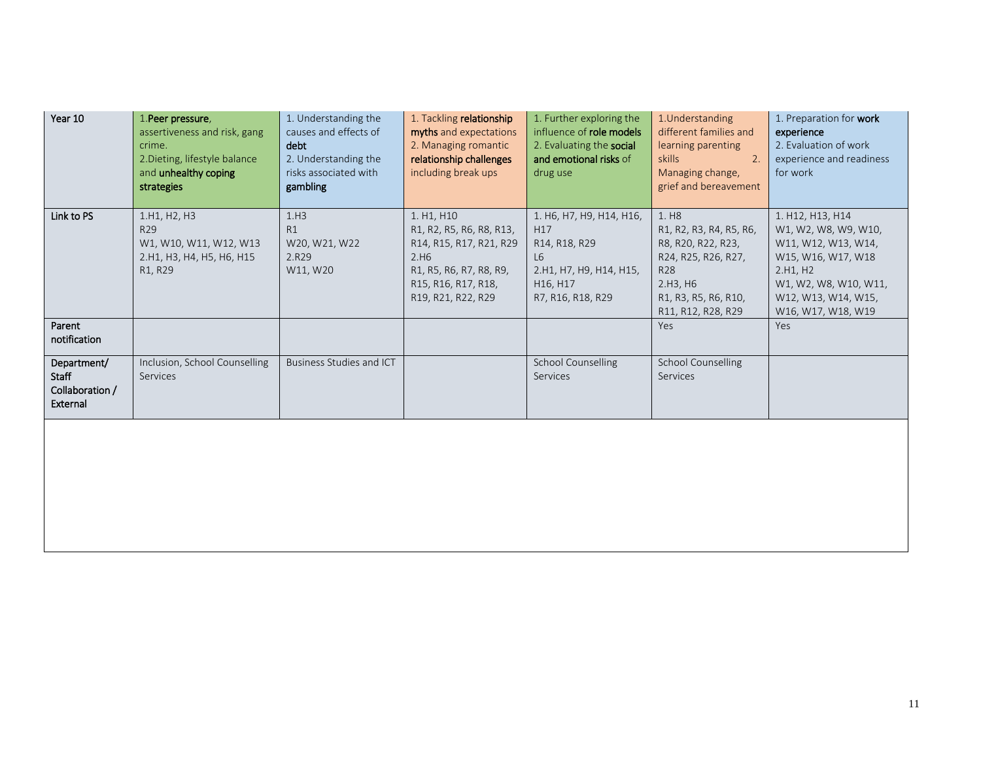| Year 10                                                    | 1. Peer pressure,<br>assertiveness and risk, gang<br>crime.<br>2. Dieting, lifestyle balance<br>and unhealthy coping<br>strategies | 1. Understanding the<br>causes and effects of<br>debt<br>2. Understanding the<br>risks associated with<br>gambling | 1. Tackling relationship<br>myths and expectations<br>2. Managing romantic<br>relationship challenges<br>including break ups                      | 1. Further exploring the<br>influence of role models<br>2. Evaluating the social<br>and emotional risks of<br>drug use         | 1. Understanding<br>different families and<br>learning parenting<br>skills<br>2.<br>Managing change,<br>grief and bereavement                              | 1. Preparation for work<br>experience<br>2. Evaluation of work<br>experience and readiness<br>for work                                                                  |
|------------------------------------------------------------|------------------------------------------------------------------------------------------------------------------------------------|--------------------------------------------------------------------------------------------------------------------|---------------------------------------------------------------------------------------------------------------------------------------------------|--------------------------------------------------------------------------------------------------------------------------------|------------------------------------------------------------------------------------------------------------------------------------------------------------|-------------------------------------------------------------------------------------------------------------------------------------------------------------------------|
| Link to PS                                                 | 1.H1, H2, H3<br>R <sub>29</sub><br>W1, W10, W11, W12, W13<br>2.H1, H3, H4, H5, H6, H15<br>R1, R29                                  | 1.H3<br>R1<br>W20, W21, W22<br>2.R29<br>W11, W20                                                                   | 1. H1, H10<br>R1, R2, R5, R6, R8, R13,<br>R14, R15, R17, R21, R29<br>2.H6<br>R1, R5, R6, R7, R8, R9,<br>R15, R16, R17, R18,<br>R19, R21, R22, R29 | 1. H6, H7, H9, H14, H16,<br>H17<br>R14, R18, R29<br>L <sub>6</sub><br>2.H1, H7, H9, H14, H15,<br>H16, H17<br>R7, R16, R18, R29 | 1. H <sub>8</sub><br>R1, R2, R3, R4, R5, R6,<br>R8, R20, R22, R23,<br>R24, R25, R26, R27,<br>R28<br>2.H3, H6<br>R1, R3, R5, R6, R10,<br>R11, R12, R28, R29 | 1. H12, H13, H14<br>W1, W2, W8, W9, W10,<br>W11, W12, W13, W14,<br>W15, W16, W17, W18<br>2.H1, H2<br>W1, W2, W8, W10, W11,<br>W12, W13, W14, W15,<br>W16, W17, W18, W19 |
| Parent<br>notification                                     |                                                                                                                                    |                                                                                                                    |                                                                                                                                                   |                                                                                                                                | <b>Yes</b>                                                                                                                                                 | Yes                                                                                                                                                                     |
| Department/<br><b>Staff</b><br>Collaboration /<br>External | Inclusion, School Counselling<br>Services                                                                                          | <b>Business Studies and ICT</b>                                                                                    |                                                                                                                                                   | <b>School Counselling</b><br>Services                                                                                          | <b>School Counselling</b><br>Services                                                                                                                      |                                                                                                                                                                         |
|                                                            |                                                                                                                                    |                                                                                                                    |                                                                                                                                                   |                                                                                                                                |                                                                                                                                                            |                                                                                                                                                                         |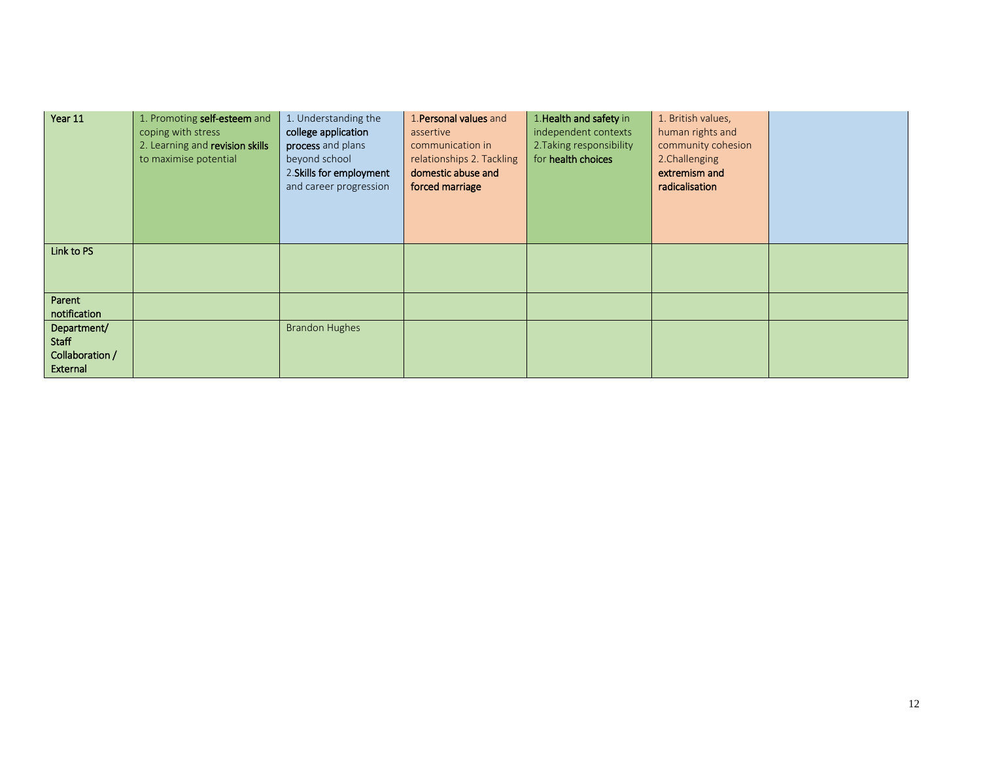| Year 11                                                    | 1. Promoting self-esteem and<br>coping with stress<br>2. Learning and revision skills<br>to maximise potential | 1. Understanding the<br>college application<br>process and plans<br>beyond school<br>2. Skills for employment<br>and career progression | 1. Personal values and<br>assertive<br>communication in<br>relationships 2. Tackling<br>domestic abuse and<br>forced marriage | 1. Health and safety in<br>independent contexts<br>2. Taking responsibility<br>for health choices | 1. British values,<br>human rights and<br>community cohesion<br>2. Challenging<br>extremism and<br>radicalisation |  |
|------------------------------------------------------------|----------------------------------------------------------------------------------------------------------------|-----------------------------------------------------------------------------------------------------------------------------------------|-------------------------------------------------------------------------------------------------------------------------------|---------------------------------------------------------------------------------------------------|-------------------------------------------------------------------------------------------------------------------|--|
| Link to PS                                                 |                                                                                                                |                                                                                                                                         |                                                                                                                               |                                                                                                   |                                                                                                                   |  |
| Parent<br>notification                                     |                                                                                                                |                                                                                                                                         |                                                                                                                               |                                                                                                   |                                                                                                                   |  |
| Department/<br><b>Staff</b><br>Collaboration /<br>External |                                                                                                                | <b>Brandon Hughes</b>                                                                                                                   |                                                                                                                               |                                                                                                   |                                                                                                                   |  |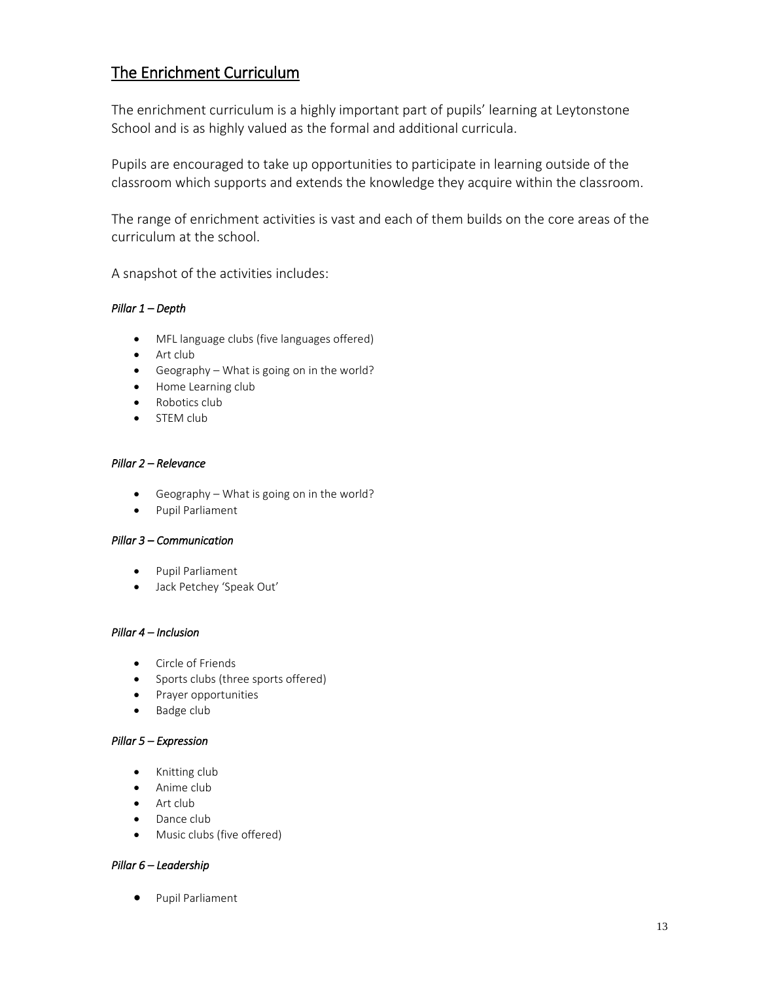# The Enrichment Curriculum

The enrichment curriculum is a highly important part of pupils' learning at Leytonstone School and is as highly valued as the formal and additional curricula.

Pupils are encouraged to take up opportunities to participate in learning outside of the classroom which supports and extends the knowledge they acquire within the classroom.

The range of enrichment activities is vast and each of them builds on the core areas of the curriculum at the school.

A snapshot of the activities includes:

## *Pillar 1 – Depth*

- MFL language clubs (five languages offered)
- Art club
- Geography What is going on in the world?
- Home Learning club
- Robotics club
- STEM club

## *Pillar 2 – Relevance*

- Geography What is going on in the world?
- **•** Pupil Parliament

#### *Pillar 3 – Communication*

- Pupil Parliament
- Jack Petchey 'Speak Out'

#### *Pillar 4 – Inclusion*

- Circle of Friends
- Sports clubs (three sports offered)
- Prayer opportunities
- Badge club

#### *Pillar 5 – Expression*

- Knitting club
- Anime club
- Art club
- Dance club
- Music clubs (five offered)

## *Pillar 6 – Leadership*

**•** Pupil Parliament